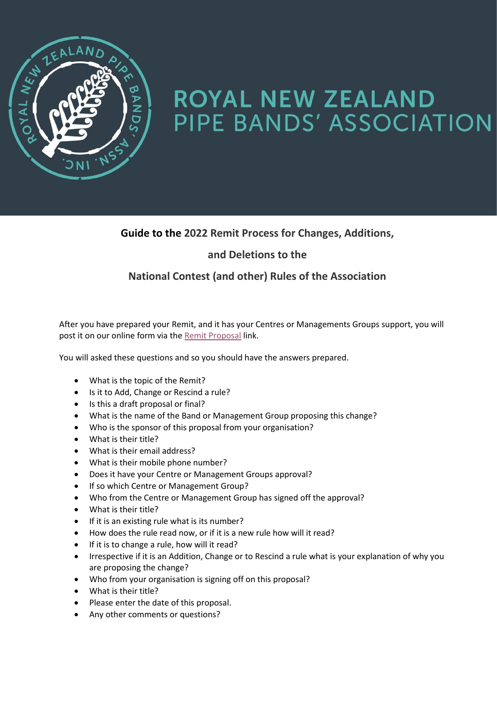

# ROYAL NEW ZEALAND PIPE BANDS' ASSOCIATION

#### **Guide to the 2022 Remit Process for Changes, Additions,**

#### **and Deletions to the**

### **National Contest (and other) Rules of the Association**

After you have prepared your Remit, and it has your Centres or Managements Groups support, you will post it on our online form via the [Remit Proposal](https://forms.office.com/r/pwH2Txb50n) link.

You will asked these questions and so you should have the answers prepared.

- What is the topic of the Remit?
- Is it to Add, Change or Rescind a rule?
- Is this a draft proposal or final?
- What is the name of the Band or Management Group proposing this change?
- Who is the sponsor of this proposal from your organisation?
- What is their title?
- What is their email address?
- What is their mobile phone number?
- Does it have your Centre or Management Groups approval?
- If so which Centre or Management Group?
- Who from the Centre or Management Group has signed off the approval?
- What is their title?
- If it is an existing rule what is its number?
- How does the rule read now, or if it is a new rule how will it read?
- If it is to change a rule, how will it read?
- Irrespective if it is an Addition, Change or to Rescind a rule what is your explanation of why you are proposing the change?
- Who from your organisation is signing off on this proposal?
- What is their title?
- Please enter the date of this proposal.
- Any other comments or questions?